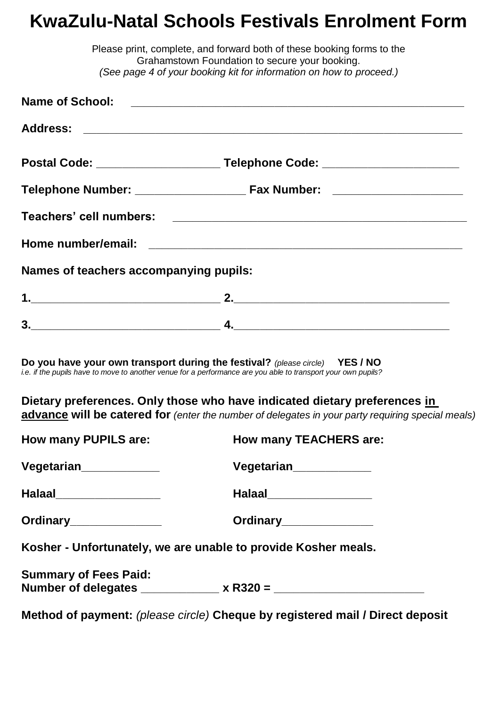## **KwaZulu-Natal Schools Festivals Enrolment Form**

|                                        | Please print, complete, and forward both of these booking forms to the<br>Grahamstown Foundation to secure your booking.                                                                      |
|----------------------------------------|-----------------------------------------------------------------------------------------------------------------------------------------------------------------------------------------------|
|                                        | (See page 4 of your booking kit for information on how to proceed.)                                                                                                                           |
|                                        |                                                                                                                                                                                               |
|                                        |                                                                                                                                                                                               |
|                                        |                                                                                                                                                                                               |
|                                        |                                                                                                                                                                                               |
|                                        |                                                                                                                                                                                               |
|                                        |                                                                                                                                                                                               |
| Names of teachers accompanying pupils: |                                                                                                                                                                                               |
|                                        |                                                                                                                                                                                               |
|                                        |                                                                                                                                                                                               |
|                                        | Do you have your own transport during the festival? (please circle) YES / NO<br>i.e. if the pupils have to move to another venue for a performance are you able to transport your own pupils? |
|                                        | Dietary preferences. Only those who have indicated dietary preferences in<br>advance will be catered for (enter the number of delegates in your party requiring special meals)                |
| <b>How many PUPILS are:</b>            | <b>How many TEACHERS are:</b>                                                                                                                                                                 |
| Vegetarian <sub>____________</sub>     | Vegetarian <sub>_____________</sub>                                                                                                                                                           |
| Halaal__________________               | Halaal___________________                                                                                                                                                                     |
| Ordinary_______________                | Ordinary________________                                                                                                                                                                      |
|                                        | Kosher - Unfortunately, we are unable to provide Kosher meals.                                                                                                                                |
| <b>Summary of Fees Paid:</b>           |                                                                                                                                                                                               |
|                                        | Method of payment: (please circle) Cheque by registered mail / Direct deposit                                                                                                                 |